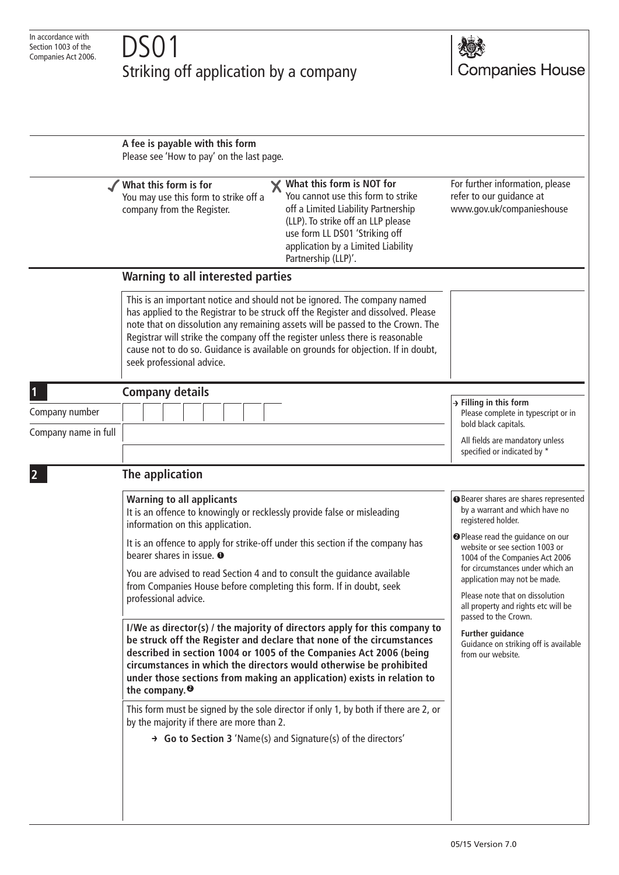## Striking off application by a company



|                      | A fee is payable with this form<br>Please see 'How to pay' on the last page.                                                                                                                                                                                                                                                                                                                                                                                                                                                                                                                                                                                                                                                                                                                                                                                                                                                                                                                                                                           |                                                                                                                                                                                                                                                                                                                                                                                                                                                                                          |
|----------------------|--------------------------------------------------------------------------------------------------------------------------------------------------------------------------------------------------------------------------------------------------------------------------------------------------------------------------------------------------------------------------------------------------------------------------------------------------------------------------------------------------------------------------------------------------------------------------------------------------------------------------------------------------------------------------------------------------------------------------------------------------------------------------------------------------------------------------------------------------------------------------------------------------------------------------------------------------------------------------------------------------------------------------------------------------------|------------------------------------------------------------------------------------------------------------------------------------------------------------------------------------------------------------------------------------------------------------------------------------------------------------------------------------------------------------------------------------------------------------------------------------------------------------------------------------------|
|                      | What this form is NOT for<br>What this form is for<br>You cannot use this form to strike<br>You may use this form to strike off a<br>off a Limited Liability Partnership<br>company from the Register.<br>(LLP). To strike off an LLP please<br>use form LL DS01 'Striking off<br>application by a Limited Liability<br>Partnership (LLP)'.                                                                                                                                                                                                                                                                                                                                                                                                                                                                                                                                                                                                                                                                                                            | For further information, please<br>refer to our guidance at<br>www.gov.uk/companieshouse                                                                                                                                                                                                                                                                                                                                                                                                 |
|                      | Warning to all interested parties                                                                                                                                                                                                                                                                                                                                                                                                                                                                                                                                                                                                                                                                                                                                                                                                                                                                                                                                                                                                                      |                                                                                                                                                                                                                                                                                                                                                                                                                                                                                          |
|                      | This is an important notice and should not be ignored. The company named<br>has applied to the Registrar to be struck off the Register and dissolved. Please<br>note that on dissolution any remaining assets will be passed to the Crown. The<br>Registrar will strike the company off the register unless there is reasonable<br>cause not to do so. Guidance is available on grounds for objection. If in doubt,<br>seek professional advice.                                                                                                                                                                                                                                                                                                                                                                                                                                                                                                                                                                                                       |                                                                                                                                                                                                                                                                                                                                                                                                                                                                                          |
| 1                    | <b>Company details</b>                                                                                                                                                                                                                                                                                                                                                                                                                                                                                                                                                                                                                                                                                                                                                                                                                                                                                                                                                                                                                                 |                                                                                                                                                                                                                                                                                                                                                                                                                                                                                          |
| Company number       |                                                                                                                                                                                                                                                                                                                                                                                                                                                                                                                                                                                                                                                                                                                                                                                                                                                                                                                                                                                                                                                        | $\rightarrow$ Filling in this form<br>Please complete in typescript or in<br>bold black capitals.                                                                                                                                                                                                                                                                                                                                                                                        |
| Company name in full |                                                                                                                                                                                                                                                                                                                                                                                                                                                                                                                                                                                                                                                                                                                                                                                                                                                                                                                                                                                                                                                        | All fields are mandatory unless<br>specified or indicated by *                                                                                                                                                                                                                                                                                                                                                                                                                           |
|                      | The application                                                                                                                                                                                                                                                                                                                                                                                                                                                                                                                                                                                                                                                                                                                                                                                                                                                                                                                                                                                                                                        |                                                                                                                                                                                                                                                                                                                                                                                                                                                                                          |
|                      | <b>Warning to all applicants</b><br>It is an offence to knowingly or recklessly provide false or misleading<br>information on this application.<br>It is an offence to apply for strike-off under this section if the company has<br>bearer shares in issue. O<br>You are advised to read Section 4 and to consult the guidance available<br>from Companies House before completing this form. If in doubt, seek<br>professional advice.<br>I/We as director(s) / the majority of directors apply for this company to<br>be struck off the Register and declare that none of the circumstances<br>described in section 1004 or 1005 of the Companies Act 2006 (being<br>circumstances in which the directors would otherwise be prohibited<br>under those sections from making an application) exists in relation to<br>the company. <sup>2</sup><br>This form must be signed by the sole director if only 1, by both if there are 2, or<br>by the majority if there are more than 2.<br>→ Go to Section 3 'Name(s) and Signature(s) of the directors' | <b>O</b> Bearer shares are shares represented<br>by a warrant and which have no<br>registered holder.<br><sup>O</sup> Please read the guidance on our<br>website or see section 1003 or<br>1004 of the Companies Act 2006<br>for circumstances under which an<br>application may not be made.<br>Please note that on dissolution<br>all property and rights etc will be<br>passed to the Crown.<br><b>Further guidance</b><br>Guidance on striking off is available<br>from our website. |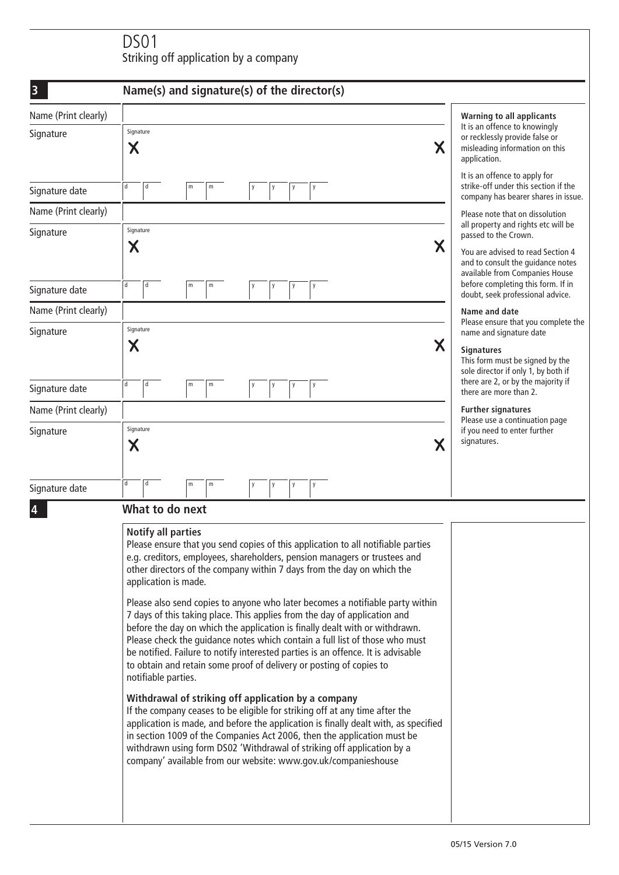## DS01 Striking off application by a company

| building on application by a company |                                                                                                                                                                                                                                                                                                                                                                                                                                                                                                                                                                                                                                                                                                                                                                                                                                                                                                                                                                                                                                                                                                                                                                                                                                                                |                                                                                                                                                               |  |  |
|--------------------------------------|----------------------------------------------------------------------------------------------------------------------------------------------------------------------------------------------------------------------------------------------------------------------------------------------------------------------------------------------------------------------------------------------------------------------------------------------------------------------------------------------------------------------------------------------------------------------------------------------------------------------------------------------------------------------------------------------------------------------------------------------------------------------------------------------------------------------------------------------------------------------------------------------------------------------------------------------------------------------------------------------------------------------------------------------------------------------------------------------------------------------------------------------------------------------------------------------------------------------------------------------------------------|---------------------------------------------------------------------------------------------------------------------------------------------------------------|--|--|
| $\overline{\mathbf{3}}$              | Name(s) and signature(s) of the director(s)                                                                                                                                                                                                                                                                                                                                                                                                                                                                                                                                                                                                                                                                                                                                                                                                                                                                                                                                                                                                                                                                                                                                                                                                                    |                                                                                                                                                               |  |  |
| Name (Print clearly)<br>Signature    | Signature<br>$\boldsymbol{\mathsf{X}}$<br>Χ                                                                                                                                                                                                                                                                                                                                                                                                                                                                                                                                                                                                                                                                                                                                                                                                                                                                                                                                                                                                                                                                                                                                                                                                                    | <b>Warning to all applicants</b><br>It is an offence to knowingly<br>or recklessly provide false or<br>misleading information on this<br>application.         |  |  |
| Signature date                       | d<br>d<br>m<br>m<br>y<br>y                                                                                                                                                                                                                                                                                                                                                                                                                                                                                                                                                                                                                                                                                                                                                                                                                                                                                                                                                                                                                                                                                                                                                                                                                                     | It is an offence to apply for<br>strike-off under this section if the<br>company has bearer shares in issue.                                                  |  |  |
| Name (Print clearly)                 |                                                                                                                                                                                                                                                                                                                                                                                                                                                                                                                                                                                                                                                                                                                                                                                                                                                                                                                                                                                                                                                                                                                                                                                                                                                                | Please note that on dissolution                                                                                                                               |  |  |
| Signature                            | Signature<br>Χ<br>Χ                                                                                                                                                                                                                                                                                                                                                                                                                                                                                                                                                                                                                                                                                                                                                                                                                                                                                                                                                                                                                                                                                                                                                                                                                                            | all property and rights etc will be<br>passed to the Crown.<br>You are advised to read Section 4<br>and to consult the guidance notes                         |  |  |
| Signature date                       | d<br>d<br>m<br>${\sf m}$<br>y<br>у<br>y                                                                                                                                                                                                                                                                                                                                                                                                                                                                                                                                                                                                                                                                                                                                                                                                                                                                                                                                                                                                                                                                                                                                                                                                                        | available from Companies House<br>before completing this form. If in<br>doubt, seek professional advice.                                                      |  |  |
| Name (Print clearly)                 |                                                                                                                                                                                                                                                                                                                                                                                                                                                                                                                                                                                                                                                                                                                                                                                                                                                                                                                                                                                                                                                                                                                                                                                                                                                                | Name and date                                                                                                                                                 |  |  |
| Signature                            | Signature<br>Χ<br>Х                                                                                                                                                                                                                                                                                                                                                                                                                                                                                                                                                                                                                                                                                                                                                                                                                                                                                                                                                                                                                                                                                                                                                                                                                                            | Please ensure that you complete the<br>name and signature date<br><b>Signatures</b><br>This form must be signed by the<br>sole director if only 1, by both if |  |  |
| Signature date                       | d<br>d<br>m<br>m<br>y<br>у<br>у<br>y                                                                                                                                                                                                                                                                                                                                                                                                                                                                                                                                                                                                                                                                                                                                                                                                                                                                                                                                                                                                                                                                                                                                                                                                                           | there are 2, or by the majority if<br>there are more than 2.                                                                                                  |  |  |
| Name (Print clearly)                 |                                                                                                                                                                                                                                                                                                                                                                                                                                                                                                                                                                                                                                                                                                                                                                                                                                                                                                                                                                                                                                                                                                                                                                                                                                                                | <b>Further signatures</b><br>Please use a continuation page                                                                                                   |  |  |
| Signature                            | Signature<br>if you need to enter further<br>signatures.<br>Χ<br>Χ                                                                                                                                                                                                                                                                                                                                                                                                                                                                                                                                                                                                                                                                                                                                                                                                                                                                                                                                                                                                                                                                                                                                                                                             |                                                                                                                                                               |  |  |
| Signature date                       | q<br>d<br>m<br>m<br>у<br>y<br>y<br>у                                                                                                                                                                                                                                                                                                                                                                                                                                                                                                                                                                                                                                                                                                                                                                                                                                                                                                                                                                                                                                                                                                                                                                                                                           |                                                                                                                                                               |  |  |
|                                      | What to do next                                                                                                                                                                                                                                                                                                                                                                                                                                                                                                                                                                                                                                                                                                                                                                                                                                                                                                                                                                                                                                                                                                                                                                                                                                                |                                                                                                                                                               |  |  |
|                                      | <b>Notify all parties</b><br>Please ensure that you send copies of this application to all notifiable parties<br>e.g. creditors, employees, shareholders, pension managers or trustees and<br>other directors of the company within 7 days from the day on which the<br>application is made.<br>Please also send copies to anyone who later becomes a notifiable party within<br>7 days of this taking place. This applies from the day of application and<br>before the day on which the application is finally dealt with or withdrawn.<br>Please check the quidance notes which contain a full list of those who must<br>be notified. Failure to notify interested parties is an offence. It is advisable<br>to obtain and retain some proof of delivery or posting of copies to<br>notifiable parties.<br>Withdrawal of striking off application by a company<br>If the company ceases to be eligible for striking off at any time after the<br>application is made, and before the application is finally dealt with, as specified<br>in section 1009 of the Companies Act 2006, then the application must be<br>withdrawn using form DS02 'Withdrawal of striking off application by a<br>company' available from our website: www.gov.uk/companieshouse |                                                                                                                                                               |  |  |